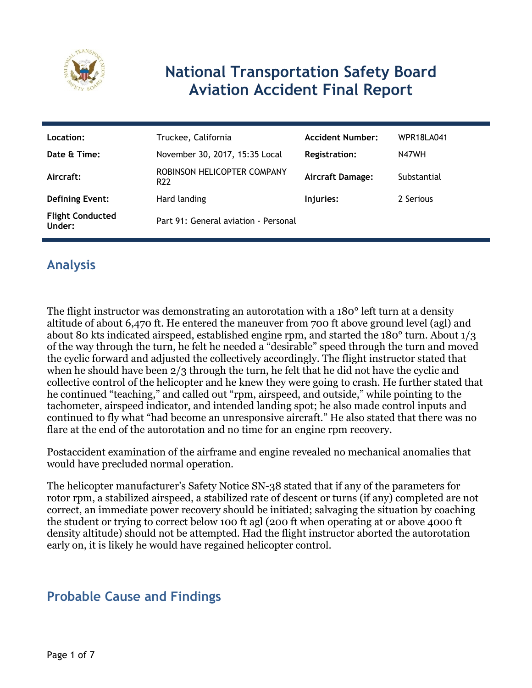

# **National Transportation Safety Board Aviation Accident Final Report**

| Location:                         | Truckee, California                            | <b>Accident Number:</b> | WPR18LA041  |
|-----------------------------------|------------------------------------------------|-------------------------|-------------|
| Date & Time:                      | November 30, 2017, 15:35 Local                 | Registration:           | N47WH       |
| Aircraft:                         | ROBINSON HELICOPTER COMPANY<br>R <sub>22</sub> | <b>Aircraft Damage:</b> | Substantial |
| <b>Defining Event:</b>            | Hard landing                                   | Injuries:               | 2 Serious   |
| <b>Flight Conducted</b><br>Under: | Part 91: General aviation - Personal           |                         |             |

# **Analysis**

The flight instructor was demonstrating an autorotation with a 180° left turn at a density altitude of about 6,470 ft. He entered the maneuver from 700 ft above ground level (agl) and about 80 kts indicated airspeed, established engine rpm, and started the 180° turn. About 1/3 of the way through the turn, he felt he needed a "desirable" speed through the turn and moved the cyclic forward and adjusted the collectively accordingly. The flight instructor stated that when he should have been 2/3 through the turn, he felt that he did not have the cyclic and collective control of the helicopter and he knew they were going to crash. He further stated that he continued "teaching," and called out "rpm, airspeed, and outside," while pointing to the tachometer, airspeed indicator, and intended landing spot; he also made control inputs and continued to fly what "had become an unresponsive aircraft." He also stated that there was no flare at the end of the autorotation and no time for an engine rpm recovery.

Postaccident examination of the airframe and engine revealed no mechanical anomalies that would have precluded normal operation.

The helicopter manufacturer's Safety Notice SN-38 stated that if any of the parameters for rotor rpm, a stabilized airspeed, a stabilized rate of descent or turns (if any) completed are not correct, an immediate power recovery should be initiated; salvaging the situation by coaching the student or trying to correct below 100 ft agl (200 ft when operating at or above 4000 ft density altitude) should not be attempted. Had the flight instructor aborted the autorotation early on, it is likely he would have regained helicopter control.

### **Probable Cause and Findings**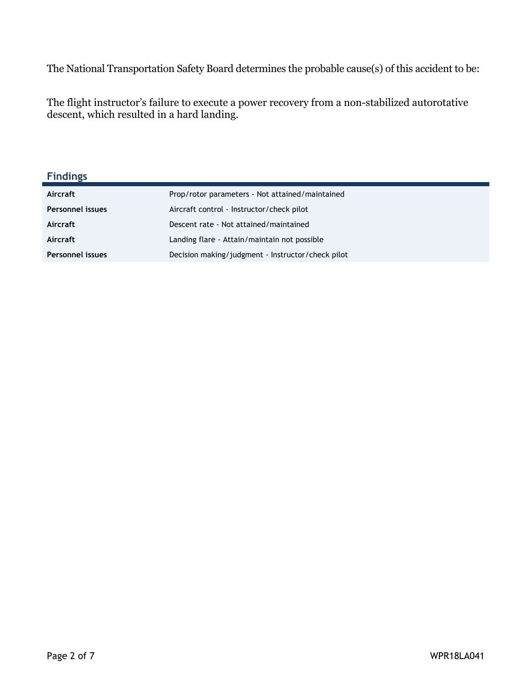The National Transportation Safety Board determines the probable cause(s) of this accident to be:

The flight instructor's failure to execute a power recovery from a non-stabilized autorotative descent, which resulted in a hard landing.

#### **Findings**

| Aircraft                | Prop/rotor parameters - Not attained/maintained   |
|-------------------------|---------------------------------------------------|
| <b>Personnel issues</b> | Aircraft control - Instructor/check pilot         |
| Aircraft                | Descent rate - Not attained/maintained            |
| Aircraft                | Landing flare - Attain/maintain not possible      |
| <b>Personnel issues</b> | Decision making/judgment - Instructor/check pilot |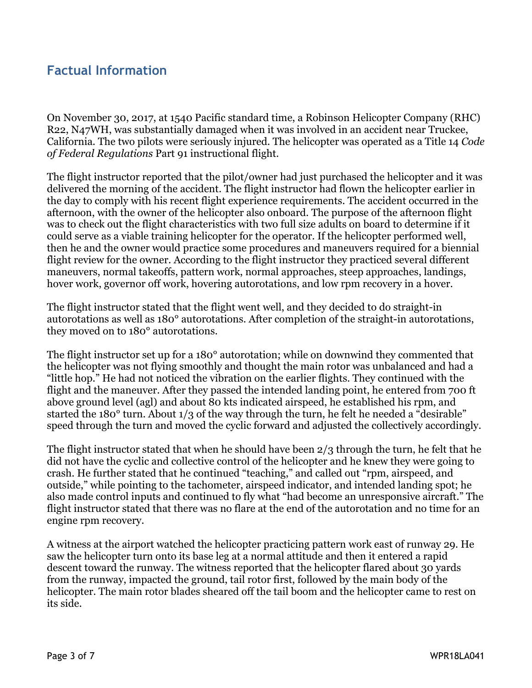### **Factual Information**

On November 30, 2017, at 1540 Pacific standard time, a Robinson Helicopter Company (RHC) R22, N47WH, was substantially damaged when it was involved in an accident near Truckee, California. The two pilots were seriously injured. The helicopter was operated as a Title 14 *Code of Federal Regulations* Part 91 instructional flight.

The flight instructor reported that the pilot/owner had just purchased the helicopter and it was delivered the morning of the accident. The flight instructor had flown the helicopter earlier in the day to comply with his recent flight experience requirements. The accident occurred in the afternoon, with the owner of the helicopter also onboard. The purpose of the afternoon flight was to check out the flight characteristics with two full size adults on board to determine if it could serve as a viable training helicopter for the operator. If the helicopter performed well, then he and the owner would practice some procedures and maneuvers required for a biennial flight review for the owner. According to the flight instructor they practiced several different maneuvers, normal takeoffs, pattern work, normal approaches, steep approaches, landings, hover work, governor off work, hovering autorotations, and low rpm recovery in a hover.

The flight instructor stated that the flight went well, and they decided to do straight-in autorotations as well as 180° autorotations. After completion of the straight-in autorotations, they moved on to 180° autorotations.

The flight instructor set up for a 180° autorotation; while on downwind they commented that the helicopter was not flying smoothly and thought the main rotor was unbalanced and had a "little hop." He had not noticed the vibration on the earlier flights. They continued with the flight and the maneuver. After they passed the intended landing point, he entered from 700 ft above ground level (agl) and about 80 kts indicated airspeed, he established his rpm, and started the 180<sup>°</sup> turn. About 1/3 of the way through the turn, he felt he needed a "desirable" speed through the turn and moved the cyclic forward and adjusted the collectively accordingly.

The flight instructor stated that when he should have been 2/3 through the turn, he felt that he did not have the cyclic and collective control of the helicopter and he knew they were going to crash. He further stated that he continued "teaching," and called out "rpm, airspeed, and outside," while pointing to the tachometer, airspeed indicator, and intended landing spot; he also made control inputs and continued to fly what "had become an unresponsive aircraft." The flight instructor stated that there was no flare at the end of the autorotation and no time for an engine rpm recovery.

A witness at the airport watched the helicopter practicing pattern work east of runway 29. He saw the helicopter turn onto its base leg at a normal attitude and then it entered a rapid descent toward the runway. The witness reported that the helicopter flared about 30 yards from the runway, impacted the ground, tail rotor first, followed by the main body of the helicopter. The main rotor blades sheared off the tail boom and the helicopter came to rest on its side.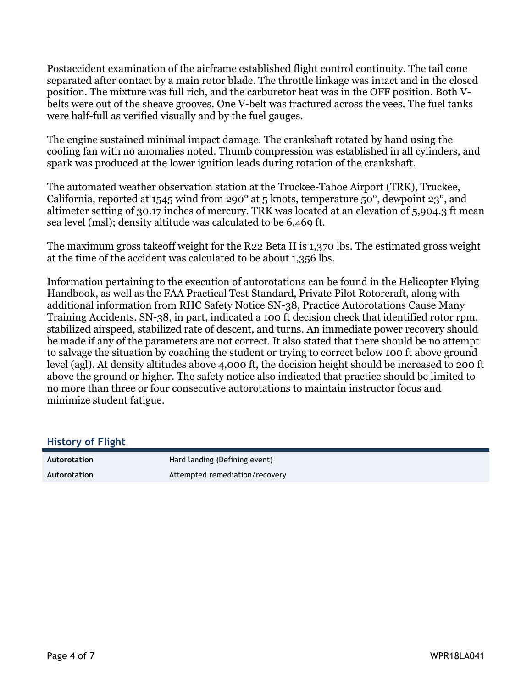Postaccident examination of the airframe established flight control continuity. The tail cone separated after contact by a main rotor blade. The throttle linkage was intact and in the closed position. The mixture was full rich, and the carburetor heat was in the OFF position. Both Vbelts were out of the sheave grooves. One V-belt was fractured across the vees. The fuel tanks were half-full as verified visually and by the fuel gauges.

The engine sustained minimal impact damage. The crankshaft rotated by hand using the cooling fan with no anomalies noted. Thumb compression was established in all cylinders, and spark was produced at the lower ignition leads during rotation of the crankshaft.

The automated weather observation station at the Truckee-Tahoe Airport (TRK), Truckee, California, reported at 1545 wind from 290° at 5 knots, temperature 50°, dewpoint 23°, and altimeter setting of 30.17 inches of mercury. TRK was located at an elevation of 5,904.3 ft mean sea level (msl); density altitude was calculated to be 6,469 ft.

The maximum gross takeoff weight for the R22 Beta II is 1,370 lbs. The estimated gross weight at the time of the accident was calculated to be about 1,356 lbs.

Information pertaining to the execution of autorotations can be found in the Helicopter Flying Handbook, as well as the FAA Practical Test Standard, Private Pilot Rotorcraft, along with additional information from RHC Safety Notice SN-38, Practice Autorotations Cause Many Training Accidents. SN-38, in part, indicated a 100 ft decision check that identified rotor rpm, stabilized airspeed, stabilized rate of descent, and turns. An immediate power recovery should be made if any of the parameters are not correct. It also stated that there should be no attempt to salvage the situation by coaching the student or trying to correct below 100 ft above ground level (agl). At density altitudes above 4,000 ft, the decision height should be increased to 200 ft above the ground or higher. The safety notice also indicated that practice should be limited to no more than three or four consecutive autorotations to maintain instructor focus and minimize student fatigue.

#### **History of Flight**

| Autorotation | Hard landing (Defining event)  |
|--------------|--------------------------------|
| Autorotation | Attempted remediation/recovery |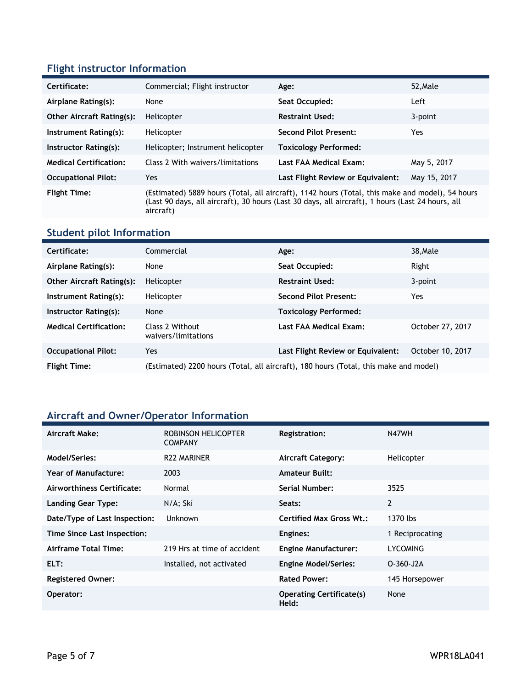#### **Flight instructor Information**

| Certificate:                     | Commercial; Flight instructor                                                                                                                                                                                    | Age:                              | 52, Male     |
|----------------------------------|------------------------------------------------------------------------------------------------------------------------------------------------------------------------------------------------------------------|-----------------------------------|--------------|
| Airplane Rating(s):              | None                                                                                                                                                                                                             | Seat Occupied:                    | Left         |
| <b>Other Aircraft Rating(s):</b> | Helicopter                                                                                                                                                                                                       | <b>Restraint Used:</b>            | 3-point      |
| Instrument Rating(s):            | Helicopter                                                                                                                                                                                                       | <b>Second Pilot Present:</b>      | Yes          |
| Instructor Rating(s):            | Helicopter; Instrument helicopter                                                                                                                                                                                | <b>Toxicology Performed:</b>      |              |
| <b>Medical Certification:</b>    | Class 2 With waivers/limitations                                                                                                                                                                                 | Last FAA Medical Exam:            | May 5, 2017  |
| <b>Occupational Pilot:</b>       | Yes.                                                                                                                                                                                                             | Last Flight Review or Equivalent: | May 15, 2017 |
| <b>Flight Time:</b>              | (Estimated) 5889 hours (Total, all aircraft), 1142 hours (Total, this make and model), 54 hours<br>(Last 90 days, all aircraft), 30 hours (Last 30 days, all aircraft), 1 hours (Last 24 hours, all<br>aircraft) |                                   |              |

#### **Student pilot Information**

| Certificate:                     | Commercial                                                                           | Age:                              | 38, Male         |
|----------------------------------|--------------------------------------------------------------------------------------|-----------------------------------|------------------|
| Airplane Rating(s):              | None                                                                                 | Seat Occupied:                    | Right            |
| <b>Other Aircraft Rating(s):</b> | Helicopter                                                                           | <b>Restraint Used:</b>            | 3-point          |
| Instrument Rating(s):            | Helicopter                                                                           | <b>Second Pilot Present:</b>      | Yes              |
| Instructor Rating(s):            | None                                                                                 | <b>Toxicology Performed:</b>      |                  |
| <b>Medical Certification:</b>    | Class 2 Without<br>waivers/limitations                                               | Last FAA Medical Exam:            | October 27, 2017 |
| <b>Occupational Pilot:</b>       | Yes                                                                                  | Last Flight Review or Equivalent: | October 10, 2017 |
| <b>Flight Time:</b>              | (Estimated) 2200 hours (Total, all aircraft), 180 hours (Total, this make and model) |                                   |                  |

### **Aircraft and Owner/Operator Information**

| Aircraft Make:                | ROBINSON HELICOPTER<br><b>COMPANY</b> | Registration:                            | N47WH           |
|-------------------------------|---------------------------------------|------------------------------------------|-----------------|
| Model/Series:                 | <b>R22 MARINER</b>                    | <b>Aircraft Category:</b>                | Helicopter      |
| Year of Manufacture:          | 2003                                  | <b>Amateur Built:</b>                    |                 |
| Airworthiness Certificate:    | Normal                                | <b>Serial Number:</b>                    | 3525            |
| <b>Landing Gear Type:</b>     | N/A; Ski                              | Seats:                                   | 2               |
| Date/Type of Last Inspection: | Unknown                               | <b>Certified Max Gross Wt.:</b>          | 1370 lbs        |
| Time Since Last Inspection:   |                                       | Engines:                                 | 1 Reciprocating |
| Airframe Total Time:          | 219 Hrs at time of accident           | <b>Engine Manufacturer:</b>              | LYCOMING        |
| ELT:                          | Installed, not activated              | <b>Engine Model/Series:</b>              | $O-360-J2A$     |
| <b>Registered Owner:</b>      |                                       | <b>Rated Power:</b>                      | 145 Horsepower  |
| Operator:                     |                                       | <b>Operating Certificate(s)</b><br>Held: | None            |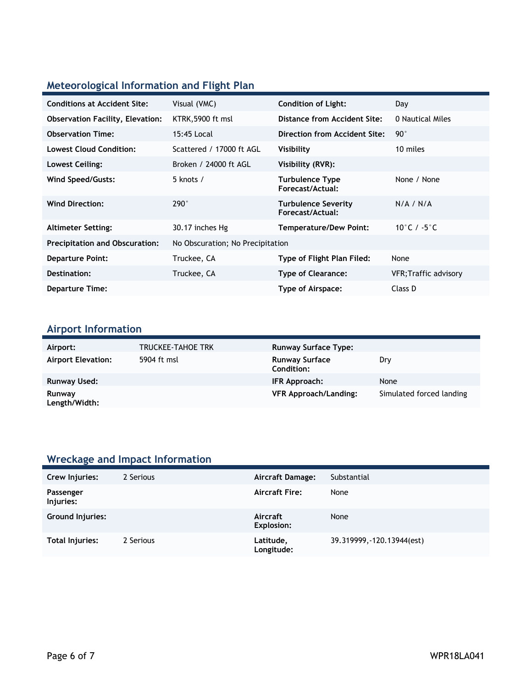# **Meteorological Information and Flight Plan**

| <b>Conditions at Accident Site:</b>     | Visual (VMC)                     | <b>Condition of Light:</b>                     | Day                   |
|-----------------------------------------|----------------------------------|------------------------------------------------|-----------------------|
| <b>Observation Facility, Elevation:</b> | KTRK, 5900 ft msl                | Distance from Accident Site:                   | 0 Nautical Miles      |
| <b>Observation Time:</b>                | 15:45 Local                      | Direction from Accident Site:                  | $90^{\circ}$          |
| <b>Lowest Cloud Condition:</b>          | Scattered / 17000 ft AGL         | Visibility                                     | 10 miles              |
| Lowest Ceiling:                         | Broken / 24000 ft AGL            | Visibility (RVR):                              |                       |
| <b>Wind Speed/Gusts:</b>                | 5 knots /                        | <b>Turbulence Type</b><br>Forecast/Actual:     | None / None           |
| <b>Wind Direction:</b>                  | $290^\circ$                      | <b>Turbulence Severity</b><br>Forecast/Actual: | N/A / N/A             |
| <b>Altimeter Setting:</b>               | 30.17 inches Hg                  | <b>Temperature/Dew Point:</b>                  | 10°C / $-5$ °C        |
| <b>Precipitation and Obscuration:</b>   | No Obscuration; No Precipitation |                                                |                       |
| <b>Departure Point:</b>                 | Truckee, CA                      | Type of Flight Plan Filed:                     | None                  |
| Destination:                            | Truckee, CA                      | <b>Type of Clearance:</b>                      | VFR; Traffic advisory |
| <b>Departure Time:</b>                  |                                  | Type of Airspace:                              | Class D               |

### **Airport Information**

| Airport:                  | TRUCKEE-TAHOE TRK | <b>Runway Surface Type:</b>                |                          |
|---------------------------|-------------------|--------------------------------------------|--------------------------|
| <b>Airport Elevation:</b> | 5904 ft msl       | <b>Runway Surface</b><br><b>Condition:</b> | Dry                      |
| <b>Runway Used:</b>       |                   | IFR Approach:                              | None                     |
| Runway<br>Length/Width:   |                   | <b>VFR Approach/Landing:</b>               | Simulated forced landing |

# **Wreckage and Impact Information**

| Crew Injuries:         | 2 Serious | <b>Aircraft Damage:</b> | Substantial                |
|------------------------|-----------|-------------------------|----------------------------|
| Passenger<br>Injuries: |           | <b>Aircraft Fire:</b>   | None                       |
| Ground Injuries:       |           | Aircraft<br>Explosion:  | None                       |
| Total Injuries:        | 2 Serious | Latitude,<br>Longitude: | 39.319999, -120.13944(est) |